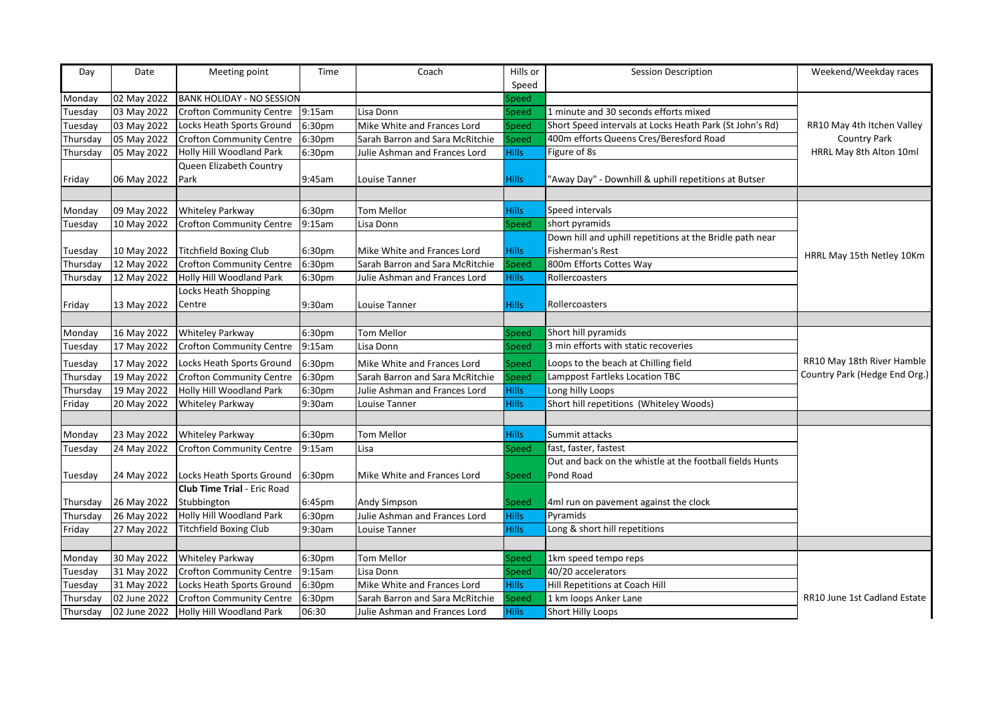| Day      | Date         | Meeting point                         | Time   | Coach                           | Hills or     | <b>Session Description</b>                               | Weekend/Weekday races         |
|----------|--------------|---------------------------------------|--------|---------------------------------|--------------|----------------------------------------------------------|-------------------------------|
|          |              |                                       |        |                                 | Speed        |                                                          |                               |
| Monday   | 02 May 2022  | <b>BANK HOLIDAY - NO SESSION</b>      |        |                                 | Speed        |                                                          |                               |
| Tuesday  | 03 May 2022  | <b>Crofton Community Centre</b>       | 9:15am | Lisa Donn                       | Speed        | 1 minute and 30 seconds efforts mixed                    |                               |
| Tuesday  | 03 May 2022  | Locks Heath Sports Ground             | 6:30pm | Mike White and Frances Lord     | <b>Speed</b> | Short Speed intervals at Locks Heath Park (St John's Rd) | RR10 May 4th Itchen Valley    |
| Thursday | 05 May 2022  | <b>Crofton Community Centre</b>       | 6:30pm | Sarah Barron and Sara McRitchie | peed         | 400m efforts Queens Cres/Beresford Road                  | <b>Country Park</b>           |
| Thursday | 05 May 2022  | Holly Hill Woodland Park              | 6:30pm | Julie Ashman and Frances Lord   | <b>Hills</b> | Figure of 8s                                             | HRRL May 8th Alton 10ml       |
|          |              | Queen Elizabeth Country               |        |                                 |              |                                                          |                               |
| Friday   | 06 May 2022  | Park                                  | 9:45am | Louise Tanner                   | <b>Hills</b> | 'Away Day" - Downhill & uphill repetitions at Butser     |                               |
|          |              |                                       |        |                                 |              |                                                          |                               |
| Monday   | 09 May 2022  | <b>Whiteley Parkway</b>               | 6:30pm | <b>Tom Mellor</b>               | <b>Hills</b> | Speed intervals                                          |                               |
| Tuesday  | 10 May 2022  | <b>Crofton Community Centre</b>       | 9:15am | Lisa Donn                       | Speed        | short pyramids                                           |                               |
|          |              |                                       |        |                                 |              | Down hill and uphill repetitions at the Bridle path near |                               |
| Tuesday  | 10 May 2022  | <b>Titchfield Boxing Club</b>         | 6:30pm | Mike White and Frances Lord     | <b>Hills</b> | Fisherman's Rest                                         | HRRL May 15th Netley 10Km     |
| Thursday | 12 May 2022  | <b>Crofton Community Centre</b>       | 6:30pm | Sarah Barron and Sara McRitchie | Speed        | 800m Efforts Cottes Way                                  |                               |
| Thursday | 12 May 2022  | Holly Hill Woodland Park              | 6:30pm | Julie Ashman and Frances Lord   | <b>Hills</b> | Rollercoasters                                           |                               |
|          |              | Locks Heath Shopping                  |        |                                 |              |                                                          |                               |
| Friday   | 13 May 2022  | Centre                                | 9:30am | Louise Tanner                   | <b>Hills</b> | Rollercoasters                                           |                               |
|          |              |                                       |        |                                 |              |                                                          |                               |
| Monday   | 16 May 2022  | <b>Whiteley Parkway</b>               | 6:30pm | <b>Tom Mellor</b>               | Speed        | Short hill pyramids                                      |                               |
| Tuesday  | 17 May 2022  | <b>Crofton Community Centre</b>       | 9:15am | Lisa Donn                       | Speed        | 3 min efforts with static recoveries                     |                               |
| Tuesday  | 17 May 2022  | Locks Heath Sports Ground             | 6:30pm | Mike White and Frances Lord     | Speed        | Loops to the beach at Chilling field                     | RR10 May 18th River Hamble    |
| Thursday | 19 May 2022  | <b>Crofton Community Centre</b>       | 6:30pm | Sarah Barron and Sara McRitchie | Speed        | Lamppost Fartleks Location TBC                           | Country Park (Hedge End Org.) |
| Thursday | 19 May 2022  | Holly Hill Woodland Park              | 6:30pm | Julie Ashman and Frances Lord   | <b>Hills</b> | Long hilly Loops                                         |                               |
| Friday   | 20 May 2022  | Whiteley Parkway                      | 9:30am | Louise Tanner                   | <b>Hills</b> | Short hill repetitions (Whiteley Woods)                  |                               |
|          |              |                                       |        |                                 |              |                                                          |                               |
| Monday   | 23 May 2022  | <b>Whiteley Parkway</b>               | 6:30pm | <b>Tom Mellor</b>               | <b>Hills</b> | Summit attacks                                           |                               |
| Tuesday  | 24 May 2022  | <b>Crofton Community Centre</b>       | 9:15am | Lisa                            | Speed        | fast, faster, fastest                                    |                               |
|          |              |                                       |        |                                 |              | Out and back on the whistle at the football fields Hunts |                               |
| Tuesday  | 24 May 2022  | Locks Heath Sports Ground             | 6:30pm | Mike White and Frances Lord     | Speed        | Pond Road                                                |                               |
|          |              | <b>Club Time Trial - Eric Road</b>    |        |                                 |              |                                                          |                               |
| Thursday | 26 May 2022  | Stubbington                           | 6:45pm | Andy Simpson                    | Speed        | 4ml run on pavement against the clock                    |                               |
| Thursday | 26 May 2022  | Holly Hill Woodland Park              | 6:30pm | Julie Ashman and Frances Lord   | <b>Hills</b> | Pyramids                                                 |                               |
| Friday   | 27 May 2022  | <b>Titchfield Boxing Club</b>         | 9:30am | Louise Tanner                   | <b>Hills</b> | Long & short hill repetitions                            |                               |
|          |              |                                       |        |                                 |              |                                                          |                               |
| Monday   | 30 May 2022  | Whiteley Parkway                      | 6:30pm | Tom Mellor                      | Speed        | 1km speed tempo reps                                     |                               |
| Tuesday  | 31 May 2022  | <b>Crofton Community Centre</b>       | 9:15am | Lisa Donn                       | <b>Speed</b> | 40/20 accelerators                                       |                               |
| Tuesday  | 31 May 2022  | Locks Heath Sports Ground             | 6:30pm | Mike White and Frances Lord     | <b>Hills</b> | Hill Repetitions at Coach Hill                           |                               |
| Thursday | 02 June 2022 | <b>Crofton Community Centre</b>       | 6:30pm | Sarah Barron and Sara McRitchie | Speed        | 1 km loops Anker Lane                                    | RR10 June 1st Cadland Estate  |
| Thursday |              | 02 June 2022 Holly Hill Woodland Park | 06:30  | Julie Ashman and Frances Lord   | <b>Hills</b> | <b>Short Hilly Loops</b>                                 |                               |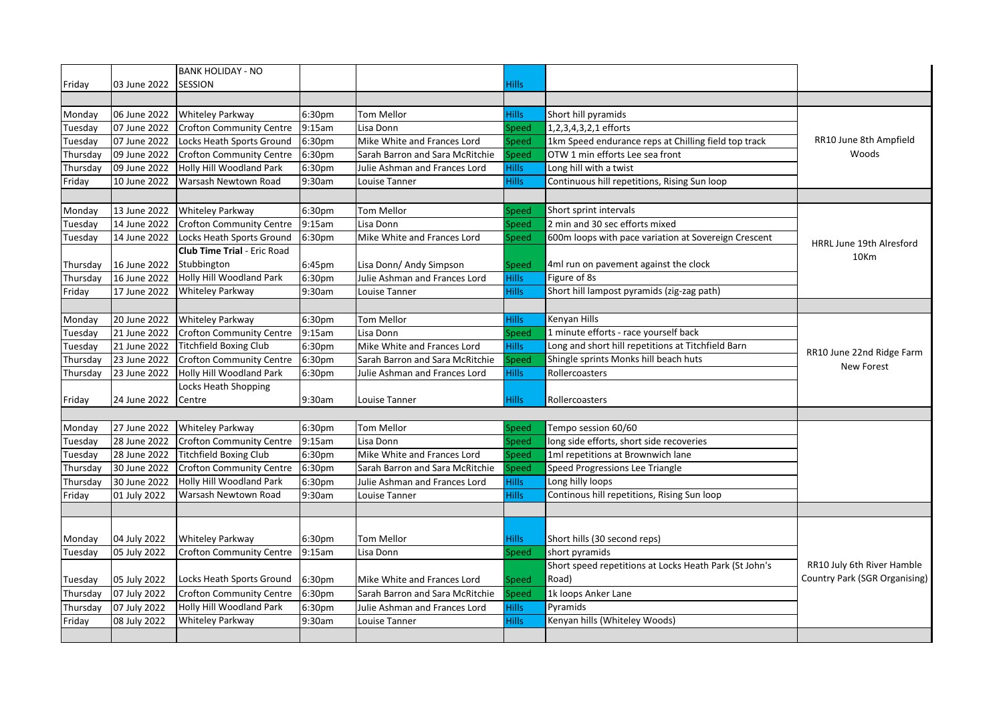| Friday   | 03 June 2022 | <b>BANK HOLIDAY - NO</b><br><b>SESSION</b> |        |                                 | Hills:        |                                                        |                                         |
|----------|--------------|--------------------------------------------|--------|---------------------------------|---------------|--------------------------------------------------------|-----------------------------------------|
|          |              |                                            |        |                                 |               |                                                        |                                         |
| Monday   | 06 June 2022 | Whiteley Parkway                           | 6:30pm | <b>Tom Mellor</b>               | Hills         | Short hill pyramids                                    |                                         |
| Tuesday  | 07 June 2022 | <b>Crofton Community Centre</b>            | 9:15am | Lisa Donn                       | Speed         | 1,2,3,4,3,2,1 efforts                                  | RR10 June 8th Ampfield<br>Woods         |
| Tuesday  | 07 June 2022 | Locks Heath Sports Ground                  | 6:30pm | Mike White and Frances Lord     | Speed         | 1km Speed endurance reps at Chilling field top track   |                                         |
| Thursday | 09 June 2022 | <b>Crofton Community Centre</b>            | 6:30pm | Sarah Barron and Sara McRitchie | Speed         | OTW 1 min efforts Lee sea front                        |                                         |
|          | 09 June 2022 | Holly Hill Woodland Park                   | 6:30pm | Julie Ashman and Frances Lord   | Hills         | Long hill with a twist                                 |                                         |
| Thursday |              | Warsash Newtown Road                       | 9:30am | Louise Tanner                   | Hills         | Continuous hill repetitions, Rising Sun loop           |                                         |
| Friday   | 10 June 2022 |                                            |        |                                 |               |                                                        |                                         |
|          |              |                                            |        |                                 |               |                                                        |                                         |
| Monday   | 13 June 2022 | Whiteley Parkway                           | 6:30pm | <b>Tom Mellor</b>               | Speed         | Short sprint intervals                                 |                                         |
| Tuesday  | 14 June 2022 | <b>Crofton Community Centre</b>            | 9:15am | Lisa Donn                       | Speed         | 2 min and 30 sec efforts mixed                         |                                         |
| Tuesday  | 14 June 2022 | Locks Heath Sports Ground                  | 6:30pm | Mike White and Frances Lord     | Speed         | 600m loops with pace variation at Sovereign Crescent   | HRRL June 19th Alresford                |
|          |              | <b>Club Time Trial - Eric Road</b>         |        |                                 |               |                                                        | 10Km                                    |
| Thursday | 16 June 2022 | Stubbington                                | 6:45pm | Lisa Donn/ Andy Simpson         | Speed         | 4ml run on pavement against the clock                  |                                         |
| Thursday | 16 June 2022 | Holly Hill Woodland Park                   | 6:30pm | Julie Ashman and Frances Lord   | Hills         | Figure of 8s                                           |                                         |
| Friday   | 17 June 2022 | Whiteley Parkway                           | 9:30am | Louise Tanner                   | Hills         | Short hill lampost pyramids (zig-zag path)             |                                         |
|          |              |                                            |        |                                 |               |                                                        |                                         |
| Monday   | 20 June 2022 | Whiteley Parkway                           | 6:30pm | <b>Tom Mellor</b>               | Hills         | Kenyan Hills                                           |                                         |
| Tuesday  | 21 June 2022 | <b>Crofton Community Centre</b>            | 9:15am | Lisa Donn                       | Speed         | 1 minute efforts - race yourself back                  | RR10 June 22nd Ridge Farm<br>New Forest |
| Tuesday  | 21 June 2022 | <b>Titchfield Boxing Club</b>              | 6:30pm | Mike White and Frances Lord     | Hills         | Long and short hill repetitions at Titchfield Barn     |                                         |
| Thursday | 23 June 2022 | <b>Crofton Community Centre</b>            | 6:30pm | Sarah Barron and Sara McRitchie | Speed         | Shingle sprints Monks hill beach huts                  |                                         |
| Thursday | 23 June 2022 | Holly Hill Woodland Park                   | 6:30pm | Julie Ashman and Frances Lord   | Hills:        | Rollercoasters                                         |                                         |
|          |              | Locks Heath Shopping                       |        |                                 |               |                                                        |                                         |
| Friday   | 24 June 2022 | Centre                                     | 9:30am | Louise Tanner                   | Hills:        | Rollercoasters                                         |                                         |
|          |              |                                            |        |                                 |               |                                                        |                                         |
| Monday   | 27 June 2022 | Whiteley Parkway                           | 6:30pm | <b>Tom Mellor</b>               | Speed         | Tempo session 60/60                                    |                                         |
| Tuesday  | 28 June 2022 | <b>Crofton Community Centre</b>            | 9:15am | Lisa Donn                       | Speed         | long side efforts, short side recoveries               |                                         |
| Tuesday  | 28 June 2022 | <b>Titchfield Boxing Club</b>              | 6:30pm | Mike White and Frances Lord     | Speed         | 1ml repetitions at Brownwich lane                      |                                         |
| Thursday | 30 June 2022 | <b>Crofton Community Centre</b>            | 6:30pm | Sarah Barron and Sara McRitchie | $\frac{1}{2}$ | <b>Speed Progressions Lee Triangle</b>                 |                                         |
| Thursday | 30 June 2022 | Holly Hill Woodland Park                   | 6:30pm | Julie Ashman and Frances Lord   | Hills.        | Long hilly loops                                       |                                         |
| Friday   | 01 July 2022 | Warsash Newtown Road                       | 9:30am | Louise Tanner                   | Hills         | Continous hill repetitions, Rising Sun loop            |                                         |
|          |              |                                            |        |                                 |               |                                                        |                                         |
|          |              |                                            |        |                                 |               |                                                        |                                         |
| Monday   | 04 July 2022 | Whiteley Parkway                           | 6:30pm | <b>Tom Mellor</b>               | Hills         | Short hills (30 second reps)                           |                                         |
| Tuesday  | 05 July 2022 | <b>Crofton Community Centre</b>            | 9:15am | Lisa Donn                       | Speed         | short pyramids                                         |                                         |
|          |              |                                            |        |                                 |               | Short speed repetitions at Locks Heath Park (St John's | RR10 July 6th River Hamble              |
| Tuesday  | 05 July 2022 | Locks Heath Sports Ground                  | 6:30pm | Mike White and Frances Lord     | Speed         | Road)                                                  | Country Park (SGR Organising)           |
| Thursday | 07 July 2022 | <b>Crofton Community Centre</b>            | 6:30pm | Sarah Barron and Sara McRitchie | Speed         | 1k loops Anker Lane                                    |                                         |
| Thursday | 07 July 2022 | Holly Hill Woodland Park                   | 6:30pm | Julie Ashman and Frances Lord   | Hills         | Pyramids                                               |                                         |
| Friday   | 08 July 2022 | Whiteley Parkway                           | 9:30am | <b>Louise Tanner</b>            | Hills         | Kenyan hills (Whiteley Woods)                          |                                         |
|          |              |                                            |        |                                 |               |                                                        |                                         |
|          |              |                                            |        |                                 |               |                                                        |                                         |